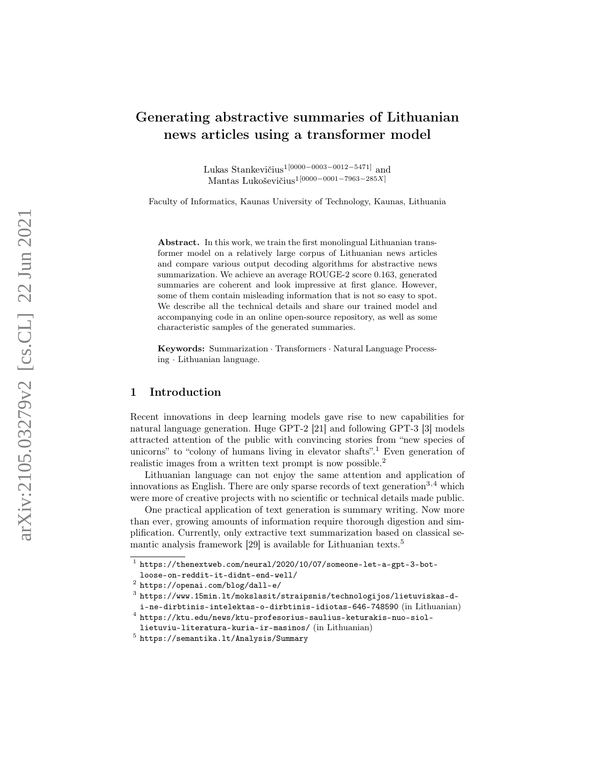# Generating abstractive summaries of Lithuanian news articles using a transformer model

Lukas Stankevičius<sup>1[0000–0003–0012–5471]</sup> and Mantas Lukoševičius<sup>1[0000–0001–7963–285X]</sup>

Faculty of Informatics, Kaunas University of Technology, Kaunas, Lithuania

Abstract. In this work, we train the first monolingual Lithuanian transformer model on a relatively large corpus of Lithuanian news articles and compare various output decoding algorithms for abstractive news summarization. We achieve an average ROUGE-2 score 0.163, generated summaries are coherent and look impressive at first glance. However, some of them contain misleading information that is not so easy to spot. We describe all the technical details and share our trained model and accompanying code in an online open-source repository, as well as some characteristic samples of the generated summaries.

Keywords: Summarization · Transformers · Natural Language Processing · Lithuanian language.

# 1 Introduction

Recent innovations in deep learning models gave rise to new capabilities for natural language generation. Huge GPT-2 [\[21\]](#page-9-0) and following GPT-3 [\[3\]](#page-8-0) models attracted attention of the public with convincing stories from "new species of unicorns" to "colony of humans living in elevator shafts". [1](#page-0-0) Even generation of realistic images from a written text prompt is now possible.<sup>[2](#page-0-1)</sup>

Lithuanian language can not enjoy the same attention and application of innovations as English. There are only sparse records of text generation<sup>[3](#page-0-2),[4](#page-0-3)</sup> which were more of creative projects with no scientific or technical details made public.

One practical application of text generation is summary writing. Now more than ever, growing amounts of information require thorough digestion and simplification. Currently, only extractive text summarization based on classical se-mantic analysis framework [\[29\]](#page-10-0) is available for Lithuanian texts.<sup>[5](#page-0-4)</sup>

<span id="page-0-0"></span> $^1$  [https://thenextweb.com/neural/2020/10/07/someone-let-a-gpt-3-bot-](https://thenextweb.com/neural/2020/10/07/someone-let-a-gpt-3-bot-loose-on-reddit-it-didnt-end-well/)

[loose-on-reddit-it-didnt-end-well/](https://thenextweb.com/neural/2020/10/07/someone-let-a-gpt-3-bot-loose-on-reddit-it-didnt-end-well/)

<span id="page-0-1"></span> $^2$  <https://openai.com/blog/dall-e/>

<span id="page-0-2"></span> $^3$ [https://www.15min.lt/mokslasit/straipsnis/technologijos/lietuviskas-d](https://www.15min.lt/mokslasit/straipsnis/technologijos/lietuviskas-d-i-ne-dirbtinis-intelektas-o-dirbtinis-idiotas-646-748590)[i-ne-dirbtinis-intelektas-o-dirbtinis-idiotas-646-748590](https://www.15min.lt/mokslasit/straipsnis/technologijos/lietuviskas-d-i-ne-dirbtinis-intelektas-o-dirbtinis-idiotas-646-748590) (in Lithuanian)

<span id="page-0-3"></span> $^4$  [https://ktu.edu/news/ktu-profesorius-saulius-keturakis-nuo-siol-](https://ktu.edu/news/ktu-profesorius-saulius-keturakis-nuo-siol-lietuviu-literatura-kuria-ir-masinos/)

[lietuviu-literatura-kuria-ir-masinos/](https://ktu.edu/news/ktu-profesorius-saulius-keturakis-nuo-siol-lietuviu-literatura-kuria-ir-masinos/) (in Lithuanian)

<span id="page-0-4"></span><sup>5</sup> <https://semantika.lt/Analysis/Summary>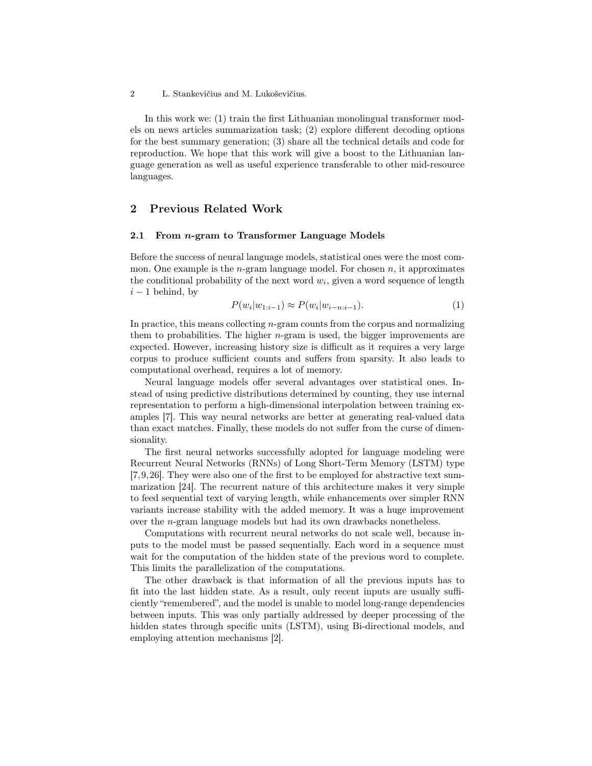In this work we: (1) train the first Lithuanian monolingual transformer models on news articles summarization task; (2) explore different decoding options for the best summary generation; (3) share all the technical details and code for reproduction. We hope that this work will give a boost to the Lithuanian language generation as well as useful experience transferable to other mid-resource languages.

# 2 Previous Related Work

### 2.1 From  $n$ -gram to Transformer Language Models

Before the success of neural language models, statistical ones were the most common. One example is the *n*-gram language model. For chosen *n*, it approximates the conditional probability of the next word  $w_i$ , given a word sequence of length  $i - 1$  behind, by

$$
P(w_i|w_{1:i-1}) \approx P(w_i|w_{i-n:i-1}).
$$
\n(1)

In practice, this means collecting n-gram counts from the corpus and normalizing them to probabilities. The higher  $n$ -gram is used, the bigger improvements are expected. However, increasing history size is difficult as it requires a very large corpus to produce sufficient counts and suffers from sparsity. It also leads to computational overhead, requires a lot of memory.

Neural language models offer several advantages over statistical ones. Instead of using predictive distributions determined by counting, they use internal representation to perform a high-dimensional interpolation between training examples [\[7\]](#page-8-1). This way neural networks are better at generating real-valued data than exact matches. Finally, these models do not suffer from the curse of dimensionality.

The first neural networks successfully adopted for language modeling were Recurrent Neural Networks (RNNs) of Long Short-Term Memory (LSTM) type [\[7,](#page-8-1)[9,](#page-8-2)[26\]](#page-9-1). They were also one of the first to be employed for abstractive text summarization [\[24\]](#page-9-2). The recurrent nature of this architecture makes it very simple to feed sequential text of varying length, while enhancements over simpler RNN variants increase stability with the added memory. It was a huge improvement over the n-gram language models but had its own drawbacks nonetheless.

Computations with recurrent neural networks do not scale well, because inputs to the model must be passed sequentially. Each word in a sequence must wait for the computation of the hidden state of the previous word to complete. This limits the parallelization of the computations.

The other drawback is that information of all the previous inputs has to fit into the last hidden state. As a result, only recent inputs are usually sufficiently "remembered", and the model is unable to model long-range dependencies between inputs. This was only partially addressed by deeper processing of the hidden states through specific units (LSTM), using Bi-directional models, and employing attention mechanisms [\[2\]](#page-8-3).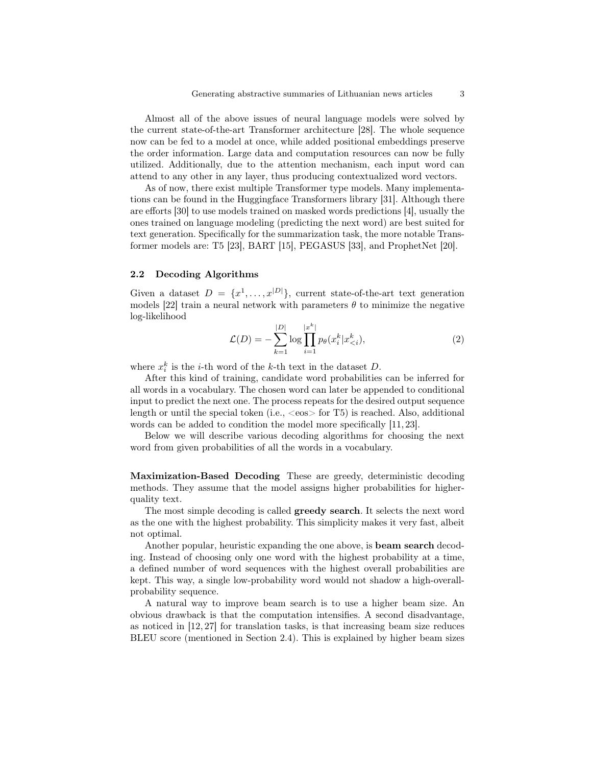Almost all of the above issues of neural language models were solved by the current state-of-the-art Transformer architecture [\[28\]](#page-9-3). The whole sequence now can be fed to a model at once, while added positional embeddings preserve the order information. Large data and computation resources can now be fully utilized. Additionally, due to the attention mechanism, each input word can attend to any other in any layer, thus producing contextualized word vectors.

As of now, there exist multiple Transformer type models. Many implementations can be found in the Huggingface Transformers library [\[31\]](#page-10-1). Although there are efforts [\[30\]](#page-10-2) to use models trained on masked words predictions [\[4\]](#page-8-4), usually the ones trained on language modeling (predicting the next word) are best suited for text generation. Specifically for the summarization task, the more notable Transformer models are: T5 [\[23\]](#page-9-4), BART [\[15\]](#page-9-5), PEGASUS [\[33\]](#page-10-3), and ProphetNet [\[20\]](#page-9-6).

#### 2.2 Decoding Algorithms

Given a dataset  $D = \{x^1, \ldots, x^{|D|}\},$  current state-of-the-art text generation models [\[22\]](#page-9-7) train a neural network with parameters  $\theta$  to minimize the negative log-likelihood

$$
\mathcal{L}(D) = -\sum_{k=1}^{|D|} \log \prod_{i=1}^{|x^k|} p_{\theta}(x_i^k | x_{
$$

where  $x_i^k$  is the *i*-th word of the *k*-th text in the dataset *D*.

After this kind of training, candidate word probabilities can be inferred for all words in a vocabulary. The chosen word can later be appended to conditional input to predict the next one. The process repeats for the desired output sequence length or until the special token (i.e.,  $\langle \cos \rangle$  for T5) is reached. Also, additional words can be added to condition the model more specifically [\[11,](#page-8-5) [23\]](#page-9-4).

Below we will describe various decoding algorithms for choosing the next word from given probabilities of all the words in a vocabulary.

Maximization-Based Decoding These are greedy, deterministic decoding methods. They assume that the model assigns higher probabilities for higherquality text.

The most simple decoding is called greedy search. It selects the next word as the one with the highest probability. This simplicity makes it very fast, albeit not optimal.

Another popular, heuristic expanding the one above, is beam search decoding. Instead of choosing only one word with the highest probability at a time, a defined number of word sequences with the highest overall probabilities are kept. This way, a single low-probability word would not shadow a high-overallprobability sequence.

A natural way to improve beam search is to use a higher beam size. An obvious drawback is that the computation intensifies. A second disadvantage, as noticed in [\[12,](#page-8-6) [27\]](#page-9-8) for translation tasks, is that increasing beam size reduces BLEU score (mentioned in Section [2.4\)](#page-4-0). This is explained by higher beam sizes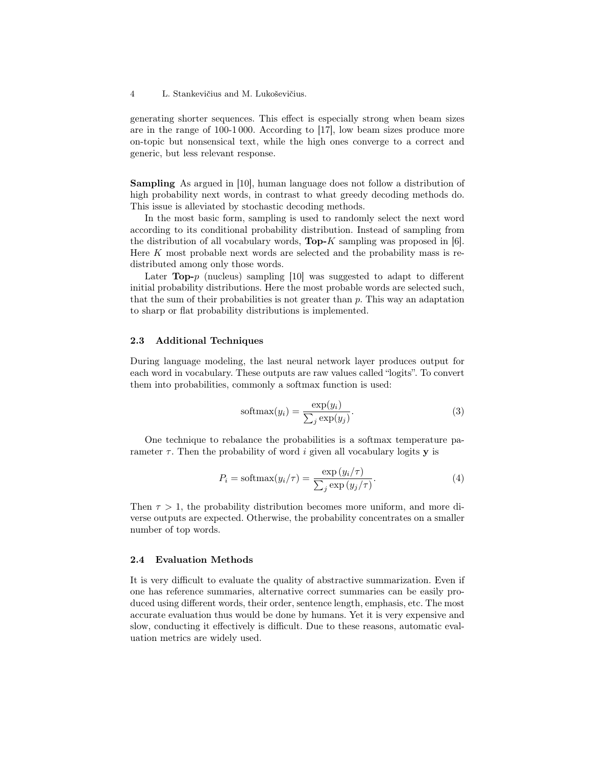generating shorter sequences. This effect is especially strong when beam sizes are in the range of 100-1 000. According to [\[17\]](#page-9-9), low beam sizes produce more on-topic but nonsensical text, while the high ones converge to a correct and generic, but less relevant response.

Sampling As argued in [\[10\]](#page-8-7), human language does not follow a distribution of high probability next words, in contrast to what greedy decoding methods do. This issue is alleviated by stochastic decoding methods.

In the most basic form, sampling is used to randomly select the next word according to its conditional probability distribution. Instead of sampling from the distribution of all vocabulary words,  $\text{Top-}K$  sampling was proposed in [\[6\]](#page-8-8). Here  $K$  most probable next words are selected and the probability mass is redistributed among only those words.

Later  $\text{Top-}p$  (nucleus) sampling [\[10\]](#page-8-7) was suggested to adapt to different initial probability distributions. Here the most probable words are selected such, that the sum of their probabilities is not greater than  $p$ . This way an adaptation to sharp or flat probability distributions is implemented.

# 2.3 Additional Techniques

During language modeling, the last neural network layer produces output for each word in vocabulary. These outputs are raw values called "logits". To convert them into probabilities, commonly a softmax function is used:

$$
softmax(y_i) = \frac{\exp(y_i)}{\sum_j \exp(y_j)}.
$$
\n(3)

One technique to rebalance the probabilities is a softmax temperature parameter  $\tau$ . Then the probability of word *i* given all vocabulary logits **y** is

$$
P_i = \text{softmax}(y_i/\tau) = \frac{\exp(y_i/\tau)}{\sum_j \exp(y_j/\tau)}.
$$
\n(4)

Then  $\tau > 1$ , the probability distribution becomes more uniform, and more diverse outputs are expected. Otherwise, the probability concentrates on a smaller number of top words.

### 2.4 Evaluation Methods

It is very difficult to evaluate the quality of abstractive summarization. Even if one has reference summaries, alternative correct summaries can be easily produced using different words, their order, sentence length, emphasis, etc. The most accurate evaluation thus would be done by humans. Yet it is very expensive and slow, conducting it effectively is difficult. Due to these reasons, automatic evaluation metrics are widely used.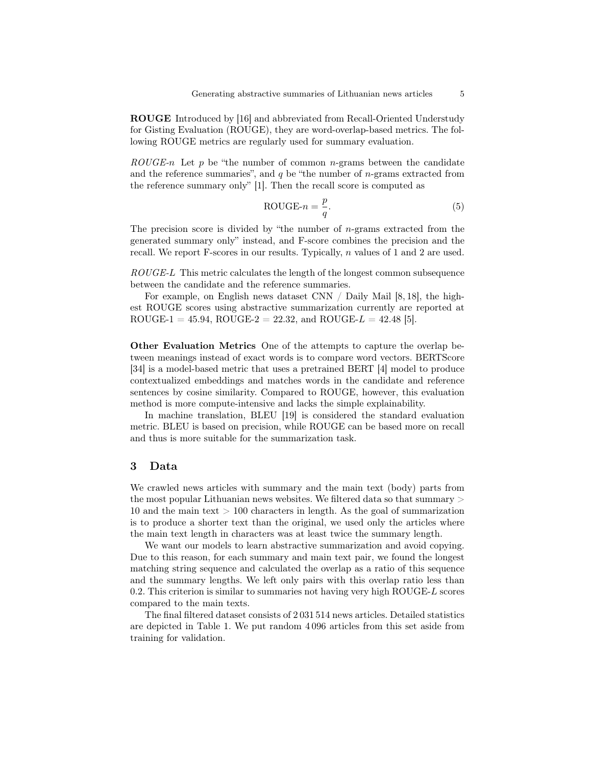ROUGE Introduced by [\[16\]](#page-9-10) and abbreviated from Recall-Oriented Understudy for Gisting Evaluation (ROUGE), they are word-overlap-based metrics. The following ROUGE metrics are regularly used for summary evaluation.

ROUGE-n Let p be "the number of common n-grams between the candidate and the reference summaries", and  $q$  be "the number of *n*-grams extracted from the reference summary only" [\[1\]](#page-8-9). Then the recall score is computed as

$$
ROUGE-n = \frac{p}{q}.
$$
\n(5)

The precision score is divided by "the number of  $n$ -grams extracted from the generated summary only" instead, and F-score combines the precision and the recall. We report F-scores in our results. Typically, n values of 1 and 2 are used.

ROUGE-L This metric calculates the length of the longest common subsequence between the candidate and the reference summaries.

For example, on English news dataset CNN / Daily Mail [\[8,](#page-8-10) [18\]](#page-9-11), the highest ROUGE scores using abstractive summarization currently are reported at ROUGE-1 = 45.94, ROUGE-2 = 22.32, and ROUGE- $L = 42.48$  [\[5\]](#page-8-11).

<span id="page-4-0"></span>Other Evaluation Metrics One of the attempts to capture the overlap between meanings instead of exact words is to compare word vectors. BERTScore [\[34\]](#page-10-4) is a model-based metric that uses a pretrained BERT [\[4\]](#page-8-4) model to produce contextualized embeddings and matches words in the candidate and reference sentences by cosine similarity. Compared to ROUGE, however, this evaluation method is more compute-intensive and lacks the simple explainability.

In machine translation, BLEU [\[19\]](#page-9-12) is considered the standard evaluation metric. BLEU is based on precision, while ROUGE can be based more on recall and thus is more suitable for the summarization task.

### 3 Data

We crawled news articles with summary and the main text (body) parts from the most popular Lithuanian news websites. We filtered data so that summary  $>$ 10 and the main text > 100 characters in length. As the goal of summarization is to produce a shorter text than the original, we used only the articles where the main text length in characters was at least twice the summary length.

We want our models to learn abstractive summarization and avoid copying. Due to this reason, for each summary and main text pair, we found the longest matching string sequence and calculated the overlap as a ratio of this sequence and the summary lengths. We left only pairs with this overlap ratio less than 0.2. This criterion is similar to summaries not having very high  $ROUGE-L$  scores compared to the main texts.

The final filtered dataset consists of 2 031 514 news articles. Detailed statistics are depicted in Table [1.](#page-5-0) We put random 4 096 articles from this set aside from training for validation.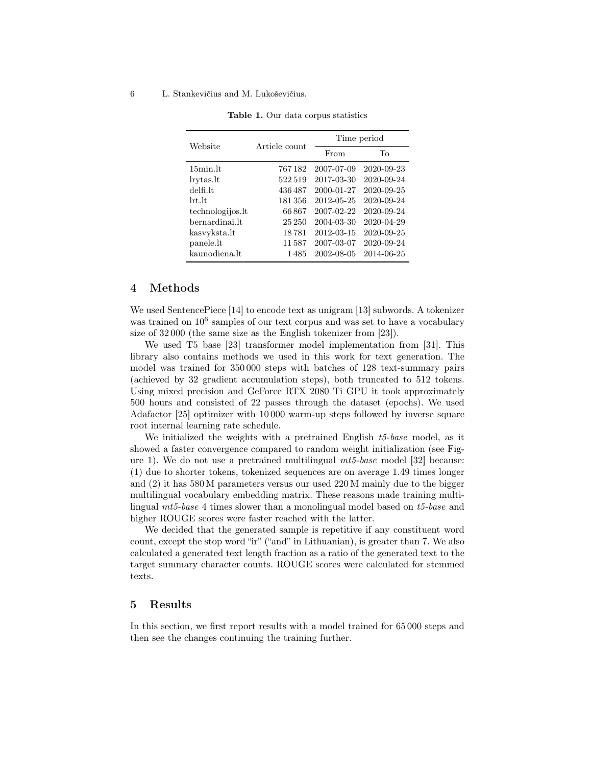| Website          | Article count | Time period |            |
|------------------|---------------|-------------|------------|
|                  |               | From        | To         |
| $15$ min.lt      | 767182        | 2007-07-09  | 2020-09-23 |
| lrytas.lt        | 522519        | 2017-03-30  | 2020-09-24 |
| delfi.lt         | 436487        | 2000-01-27  | 2020-09-25 |
| lrt.lt           | 181356        | 2012-05-25  | 2020-09-24 |
| technologijos.lt | 66867         | 2007-02-22  | 2020-09-24 |
| bernardinai.lt   | 25 250        | 2004-03-30  | 2020-04-29 |
| kasvyksta.lt     | 18781         | 2012-03-15  | 2020-09-25 |
| panele.lt        | 11587         | 2007-03-07  | 2020-09-24 |
| kaunodiena.lt    | 1485          | 2002-08-05  | 2014-06-25 |

<span id="page-5-0"></span>Table 1. Our data corpus statistics

# 4 Methods

We used SentencePiece [\[14\]](#page-9-13) to encode text as unigram [\[13\]](#page-9-14) subwords. A tokenizer was trained on  $10^6$  samples of our text corpus and was set to have a vocabulary size of 32 000 (the same size as the English tokenizer from [\[23\]](#page-9-4)).

We used T5 base [\[23\]](#page-9-4) transformer model implementation from [\[31\]](#page-10-1). This library also contains methods we used in this work for text generation. The model was trained for 350 000 steps with batches of 128 text-summary pairs (achieved by 32 gradient accumulation steps), both truncated to 512 tokens. Using mixed precision and GeForce RTX 2080 Ti GPU it took approximately 500 hours and consisted of 22 passes through the dataset (epochs). We used Adafactor [\[25\]](#page-9-15) optimizer with 10 000 warm-up steps followed by inverse square root internal learning rate schedule.

We initialized the weights with a pretrained English  $t5-base$  model, as it showed a faster convergence compared to random weight initialization (see Figure [1\)](#page-7-0). We do not use a pretrained multilingual mt5-base model [\[32\]](#page-10-5) because: (1) due to shorter tokens, tokenized sequences are on average 1.49 times longer and (2) it has 580 M parameters versus our used 220 M mainly due to the bigger multilingual vocabulary embedding matrix. These reasons made training multilingual mt5-base 4 times slower than a monolingual model based on t5-base and higher ROUGE scores were faster reached with the latter.

We decided that the generated sample is repetitive if any constituent word count, except the stop word "ir" ("and" in Lithuanian), is greater than 7. We also calculated a generated text length fraction as a ratio of the generated text to the target summary character counts. ROUGE scores were calculated for stemmed texts.

# 5 Results

In this section, we first report results with a model trained for 65 000 steps and then see the changes continuing the training further.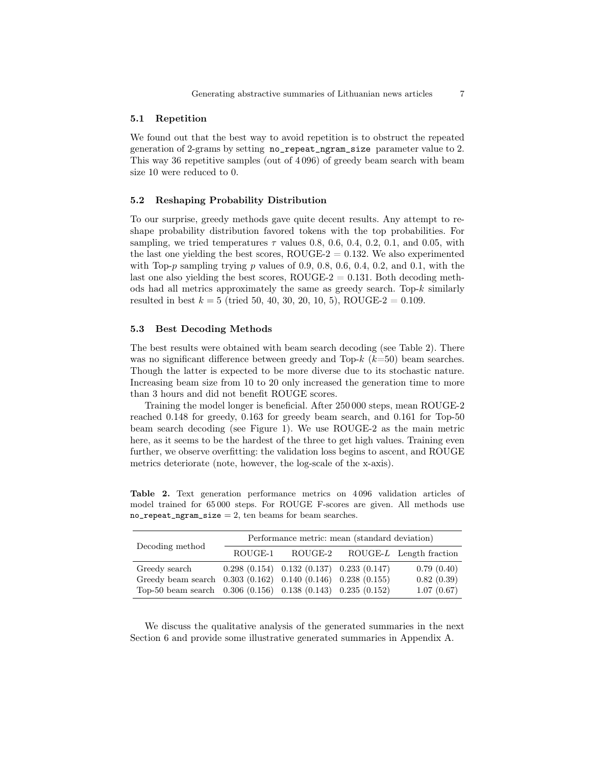#### 5.1 Repetition

We found out that the best way to avoid repetition is to obstruct the repeated generation of 2-grams by setting no\_repeat\_ngram\_size parameter value to 2. This way 36 repetitive samples (out of 4 096) of greedy beam search with beam size 10 were reduced to 0.

### 5.2 Reshaping Probability Distribution

To our surprise, greedy methods gave quite decent results. Any attempt to reshape probability distribution favored tokens with the top probabilities. For sampling, we tried temperatures  $\tau$  values 0.8, 0.6, 0.4, 0.2, 0.1, and 0.05, with the last one yielding the best scores,  $ROUGE-2 = 0.132$ . We also experimented with Top- $p$  sampling trying  $p$  values of 0.9, 0.8, 0.6, 0.4, 0.2, and 0.1, with the last one also yielding the best scores,  $\text{ROUGE-2} = 0.131$ . Both decoding methods had all metrics approximately the same as greedy search. Top- $k$  similarly resulted in best  $k = 5$  (tried 50, 40, 30, 20, 10, 5), ROUGE-2 = 0.109.

### 5.3 Best Decoding Methods

The best results were obtained with beam search decoding (see Table [2\)](#page-6-0). There was no significant difference between greedy and Top- $k$   $(k=50)$  beam searches. Though the latter is expected to be more diverse due to its stochastic nature. Increasing beam size from 10 to 20 only increased the generation time to more than 3 hours and did not benefit ROUGE scores.

Training the model longer is beneficial. After 250 000 steps, mean ROUGE-2 reached 0.148 for greedy, 0.163 for greedy beam search, and 0.161 for Top-50 beam search decoding (see Figure [1\)](#page-7-0). We use ROUGE-2 as the main metric here, as it seems to be the hardest of the three to get high values. Training even further, we observe overfitting: the validation loss begins to ascent, and ROUGE metrics deteriorate (note, however, the log-scale of the x-axis).

<span id="page-6-0"></span>Table 2. Text generation performance metrics on 4 096 validation articles of model trained for 65 000 steps. For ROUGE F-scores are given. All methods use  $no\_repeat\_ngram\_size = 2$ , ten beams for beam searches.

| Decoding method                                                                                                                                     | Performance metric: mean (standard deviation) |                                                       |  |                                        |  |
|-----------------------------------------------------------------------------------------------------------------------------------------------------|-----------------------------------------------|-------------------------------------------------------|--|----------------------------------------|--|
|                                                                                                                                                     | ROUGE-1                                       | $\mathrm{ROUGE}\text{-}2$                             |  | $ROUGE-L$ Length fraction              |  |
| Greedy search<br>Greedy beam search $0.303(0.162)$ $0.140(0.146)$ $0.238(0.155)$<br>Top-50 beam search $0.306(0.156)$ $0.138(0.143)$ $0.235(0.152)$ |                                               | $0.298$ $(0.154)$ $0.132$ $(0.137)$ $0.233$ $(0.147)$ |  | 0.79(0.40)<br>0.82(0.39)<br>1.07(0.67) |  |

We discuss the qualitative analysis of the generated summaries in the next Section [6](#page-7-1) and provide some illustrative generated summaries in Appendix [A.](#page-10-6)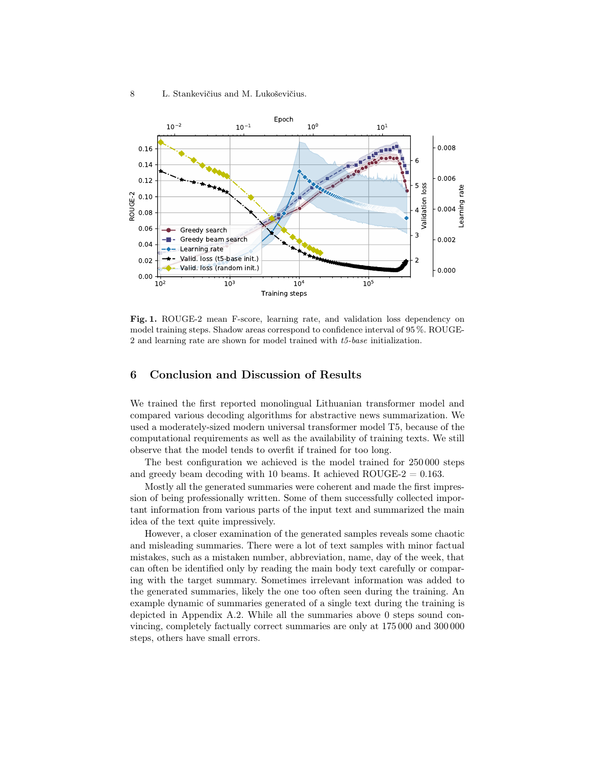

<span id="page-7-0"></span>Fig. 1. ROUGE-2 mean F-score, learning rate, and validation loss dependency on model training steps. Shadow areas correspond to confidence interval of 95 %. ROUGE-2 and learning rate are shown for model trained with t5-base initialization.

# <span id="page-7-1"></span>6 Conclusion and Discussion of Results

We trained the first reported monolingual Lithuanian transformer model and compared various decoding algorithms for abstractive news summarization. We used a moderately-sized modern universal transformer model T5, because of the computational requirements as well as the availability of training texts. We still observe that the model tends to overfit if trained for too long.

The best configuration we achieved is the model trained for 250 000 steps and greedy beam decoding with 10 beams. It achieved ROUGE- $2 = 0.163$ .

Mostly all the generated summaries were coherent and made the first impression of being professionally written. Some of them successfully collected important information from various parts of the input text and summarized the main idea of the text quite impressively.

However, a closer examination of the generated samples reveals some chaotic and misleading summaries. There were a lot of text samples with minor factual mistakes, such as a mistaken number, abbreviation, name, day of the week, that can often be identified only by reading the main body text carefully or comparing with the target summary. Sometimes irrelevant information was added to the generated summaries, likely the one too often seen during the training. An example dynamic of summaries generated of a single text during the training is depicted in Appendix [A.2.](#page-10-7) While all the summaries above 0 steps sound convincing, completely factually correct summaries are only at 175 000 and 300 000 steps, others have small errors.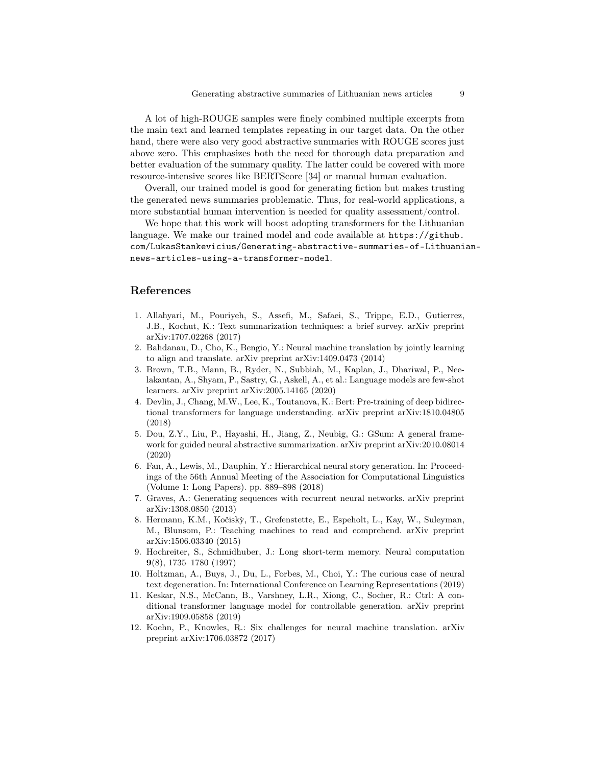A lot of high-ROUGE samples were finely combined multiple excerpts from the main text and learned templates repeating in our target data. On the other hand, there were also very good abstractive summaries with ROUGE scores just above zero. This emphasizes both the need for thorough data preparation and better evaluation of the summary quality. The latter could be covered with more resource-intensive scores like BERTScore [\[34\]](#page-10-4) or manual human evaluation.

Overall, our trained model is good for generating fiction but makes trusting the generated news summaries problematic. Thus, for real-world applications, a more substantial human intervention is needed for quality assessment/control.

We hope that this work will boost adopting transformers for the Lithuanian language. We make our trained model and code available at [https://github.](https://github.com/LukasStankevicius/Generating-abstractive-summaries-of-Lithuanian-news-articles-using-a-transformer-model) [com/LukasStankevicius/Generating-abstractive-summaries-of-Lithuania](https://github.com/LukasStankevicius/Generating-abstractive-summaries-of-Lithuanian-news-articles-using-a-transformer-model)n[news-articles-using-a-transformer-model](https://github.com/LukasStankevicius/Generating-abstractive-summaries-of-Lithuanian-news-articles-using-a-transformer-model).

# References

- <span id="page-8-9"></span>1. Allahyari, M., Pouriyeh, S., Assefi, M., Safaei, S., Trippe, E.D., Gutierrez, J.B., Kochut, K.: Text summarization techniques: a brief survey. arXiv preprint arXiv:1707.02268 (2017)
- <span id="page-8-3"></span>2. Bahdanau, D., Cho, K., Bengio, Y.: Neural machine translation by jointly learning to align and translate. arXiv preprint arXiv:1409.0473 (2014)
- <span id="page-8-0"></span>3. Brown, T.B., Mann, B., Ryder, N., Subbiah, M., Kaplan, J., Dhariwal, P., Neelakantan, A., Shyam, P., Sastry, G., Askell, A., et al.: Language models are few-shot learners. arXiv preprint arXiv:2005.14165 (2020)
- <span id="page-8-4"></span>4. Devlin, J., Chang, M.W., Lee, K., Toutanova, K.: Bert: Pre-training of deep bidirectional transformers for language understanding. arXiv preprint arXiv:1810.04805 (2018)
- <span id="page-8-11"></span>5. Dou, Z.Y., Liu, P., Hayashi, H., Jiang, Z., Neubig, G.: GSum: A general framework for guided neural abstractive summarization. arXiv preprint arXiv:2010.08014 (2020)
- <span id="page-8-8"></span>6. Fan, A., Lewis, M., Dauphin, Y.: Hierarchical neural story generation. In: Proceedings of the 56th Annual Meeting of the Association for Computational Linguistics (Volume 1: Long Papers). pp. 889–898 (2018)
- <span id="page-8-1"></span>7. Graves, A.: Generating sequences with recurrent neural networks. arXiv preprint arXiv:1308.0850 (2013)
- <span id="page-8-10"></span>8. Hermann, K.M., Kočisk`y, T., Grefenstette, E., Espeholt, L., Kay, W., Suleyman, M., Blunsom, P.: Teaching machines to read and comprehend. arXiv preprint arXiv:1506.03340 (2015)
- <span id="page-8-2"></span>9. Hochreiter, S., Schmidhuber, J.: Long short-term memory. Neural computation 9(8), 1735–1780 (1997)
- <span id="page-8-7"></span>10. Holtzman, A., Buys, J., Du, L., Forbes, M., Choi, Y.: The curious case of neural text degeneration. In: International Conference on Learning Representations (2019)
- <span id="page-8-5"></span>11. Keskar, N.S., McCann, B., Varshney, L.R., Xiong, C., Socher, R.: Ctrl: A conditional transformer language model for controllable generation. arXiv preprint arXiv:1909.05858 (2019)
- <span id="page-8-6"></span>12. Koehn, P., Knowles, R.: Six challenges for neural machine translation. arXiv preprint arXiv:1706.03872 (2017)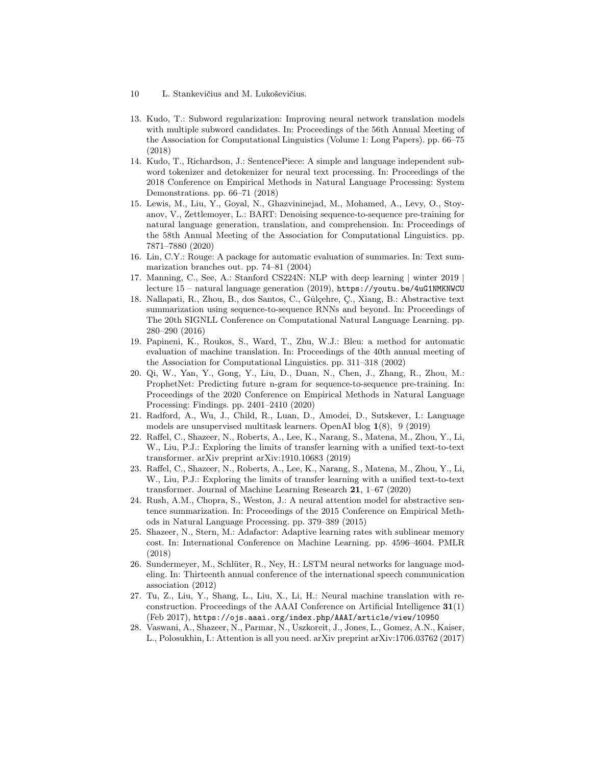- 10 L. Stankevičius and M. Lukoševičius.
- <span id="page-9-14"></span>13. Kudo, T.: Subword regularization: Improving neural network translation models with multiple subword candidates. In: Proceedings of the 56th Annual Meeting of the Association for Computational Linguistics (Volume 1: Long Papers). pp. 66–75 (2018)
- <span id="page-9-13"></span>14. Kudo, T., Richardson, J.: SentencePiece: A simple and language independent subword tokenizer and detokenizer for neural text processing. In: Proceedings of the 2018 Conference on Empirical Methods in Natural Language Processing: System Demonstrations. pp. 66–71 (2018)
- <span id="page-9-5"></span>15. Lewis, M., Liu, Y., Goyal, N., Ghazvininejad, M., Mohamed, A., Levy, O., Stoyanov, V., Zettlemoyer, L.: BART: Denoising sequence-to-sequence pre-training for natural language generation, translation, and comprehension. In: Proceedings of the 58th Annual Meeting of the Association for Computational Linguistics. pp. 7871–7880 (2020)
- <span id="page-9-10"></span>16. Lin, C.Y.: Rouge: A package for automatic evaluation of summaries. In: Text summarization branches out. pp. 74–81 (2004)
- <span id="page-9-9"></span>17. Manning, C., See, A.: Stanford CS224N: NLP with deep learning | winter 2019 | lecture 15 – natural language generation (2019), <https://youtu.be/4uG1NMKNWCU>
- <span id="page-9-11"></span>18. Nallapati, R., Zhou, B., dos Santos, C., Gulçehre, Ç., Xiang, B.: Abstractive text summarization using sequence-to-sequence RNNs and beyond. In: Proceedings of The 20th SIGNLL Conference on Computational Natural Language Learning. pp. 280–290 (2016)
- <span id="page-9-12"></span>19. Papineni, K., Roukos, S., Ward, T., Zhu, W.J.: Bleu: a method for automatic evaluation of machine translation. In: Proceedings of the 40th annual meeting of the Association for Computational Linguistics. pp. 311–318 (2002)
- <span id="page-9-6"></span>20. Qi, W., Yan, Y., Gong, Y., Liu, D., Duan, N., Chen, J., Zhang, R., Zhou, M.: ProphetNet: Predicting future n-gram for sequence-to-sequence pre-training. In: Proceedings of the 2020 Conference on Empirical Methods in Natural Language Processing: Findings. pp. 2401–2410 (2020)
- <span id="page-9-0"></span>21. Radford, A., Wu, J., Child, R., Luan, D., Amodei, D., Sutskever, I.: Language models are unsupervised multitask learners. OpenAI blog  $1(8)$ , 9 (2019)
- <span id="page-9-7"></span>22. Raffel, C., Shazeer, N., Roberts, A., Lee, K., Narang, S., Matena, M., Zhou, Y., Li, W., Liu, P.J.: Exploring the limits of transfer learning with a unified text-to-text transformer. arXiv preprint arXiv:1910.10683 (2019)
- <span id="page-9-4"></span>23. Raffel, C., Shazeer, N., Roberts, A., Lee, K., Narang, S., Matena, M., Zhou, Y., Li, W., Liu, P.J.: Exploring the limits of transfer learning with a unified text-to-text transformer. Journal of Machine Learning Research 21, 1–67 (2020)
- <span id="page-9-2"></span>24. Rush, A.M., Chopra, S., Weston, J.: A neural attention model for abstractive sentence summarization. In: Proceedings of the 2015 Conference on Empirical Methods in Natural Language Processing. pp. 379–389 (2015)
- <span id="page-9-15"></span>25. Shazeer, N., Stern, M.: Adafactor: Adaptive learning rates with sublinear memory cost. In: International Conference on Machine Learning. pp. 4596–4604. PMLR (2018)
- <span id="page-9-1"></span>26. Sundermeyer, M., Schlüter, R., Ney, H.: LSTM neural networks for language modeling. In: Thirteenth annual conference of the international speech communication association (2012)
- <span id="page-9-8"></span>27. Tu, Z., Liu, Y., Shang, L., Liu, X., Li, H.: Neural machine translation with reconstruction. Proceedings of the AAAI Conference on Artificial Intelligence 31(1) (Feb 2017), <https://ojs.aaai.org/index.php/AAAI/article/view/10950>
- <span id="page-9-3"></span>28. Vaswani, A., Shazeer, N., Parmar, N., Uszkoreit, J., Jones, L., Gomez, A.N., Kaiser, L., Polosukhin, I.: Attention is all you need. arXiv preprint arXiv:1706.03762 (2017)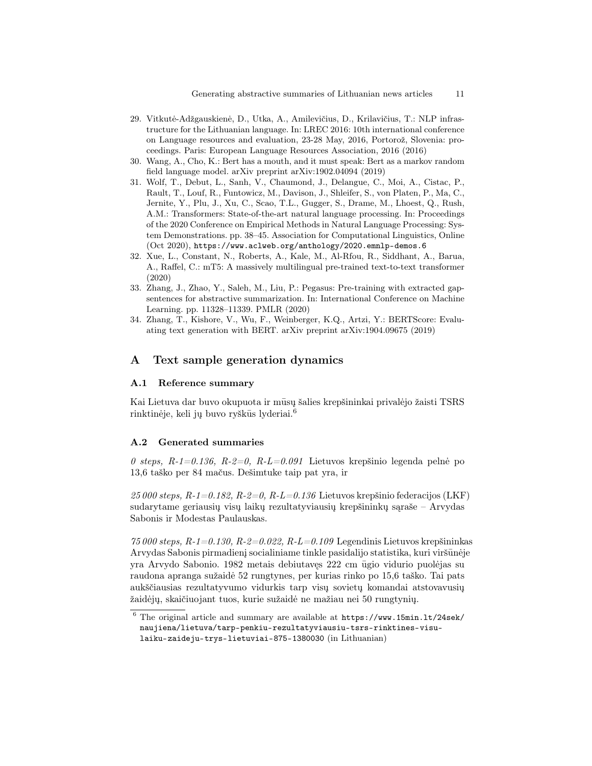- <span id="page-10-0"></span>29. Vitkutė-Adžgauskienė, D., Utka, A., Amilevičius, D., Krilavičius, T.: NLP infrastructure for the Lithuanian language. In: LREC 2016: 10th international conference on Language resources and evaluation, 23-28 May, 2016, Portorož, Slovenia: proceedings. Paris: European Language Resources Association, 2016 (2016)
- <span id="page-10-2"></span>30. Wang, A., Cho, K.: Bert has a mouth, and it must speak: Bert as a markov random field language model. arXiv preprint arXiv:1902.04094 (2019)
- <span id="page-10-1"></span>31. Wolf, T., Debut, L., Sanh, V., Chaumond, J., Delangue, C., Moi, A., Cistac, P., Rault, T., Louf, R., Funtowicz, M., Davison, J., Shleifer, S., von Platen, P., Ma, C., Jernite, Y., Plu, J., Xu, C., Scao, T.L., Gugger, S., Drame, M., Lhoest, Q., Rush, A.M.: Transformers: State-of-the-art natural language processing. In: Proceedings of the 2020 Conference on Empirical Methods in Natural Language Processing: System Demonstrations. pp. 38–45. Association for Computational Linguistics, Online (Oct 2020), <https://www.aclweb.org/anthology/2020.emnlp-demos.6>
- <span id="page-10-5"></span>32. Xue, L., Constant, N., Roberts, A., Kale, M., Al-Rfou, R., Siddhant, A., Barua, A., Raffel, C.: mT5: A massively multilingual pre-trained text-to-text transformer (2020)
- <span id="page-10-3"></span>33. Zhang, J., Zhao, Y., Saleh, M., Liu, P.: Pegasus: Pre-training with extracted gapsentences for abstractive summarization. In: International Conference on Machine Learning. pp. 11328–11339. PMLR (2020)
- <span id="page-10-4"></span>34. Zhang, T., Kishore, V., Wu, F., Weinberger, K.Q., Artzi, Y.: BERTScore: Evaluating text generation with BERT. arXiv preprint arXiv:1904.09675 (2019)

# <span id="page-10-6"></span>A Text sample generation dynamics

### A.1 Reference summary

Kai Lietuva dar buvo okupuota ir mūsų šalies krepšininkai privalėjo žaisti TSRS rinktinėje, keli jų buvo ryškūs lyderiai.<sup>[6](#page-10-8)</sup>

# <span id="page-10-7"></span>A.2 Generated summaries

0 steps, R-1=0.136, R-2=0, R-L=0.091 Lietuvos krepšinio legenda pelnė po 13,6 taško per 84 mačus. Dešimtuke taip pat yra, ir

 $25000$  steps,  $R$ -1=0.182,  $R$ -2=0,  $R$ -L=0.136 Lietuvos krepšinio federacijos (LKF) sudarytame geriausių visų laikų rezultatyviausių krepšininkų sąraše – Arvydas Sabonis ir Modestas Paulauskas.

75 000 steps, R-1=0.130, R-2=0.022, R-L=0.109 Legendinis Lietuvos krepšininkas Arvydas Sabonis pirmadienį socialiniame tinkle pasidalijo statistika, kuri viršūnėje yra Arvydo Sabonio. 1982 metais debiutaves 222 cm ūgio vidurio puolėjas su raudona apranga sužaidė 52 rungtynes, per kurias rinko po 15,6 taško. Tai pats aukščiausias rezultatyvumo vidurkis tarp visu˛ sovietu˛ komandai atstovavusiu˛ žaidėjų, skaičiuojant tuos, kurie sužaidė ne mažiau nei 50 rungtynių.

<span id="page-10-8"></span> $^6$  The original article and summary are available at  $\verb|https://www.15min.lt/24sek/$  $\verb|https://www.15min.lt/24sek/$ [naujiena/lietuva/tarp-penkiu-rezultatyviausiu-tsrs-rinktines-visu](https://www.15min.lt/24sek/naujiena/lietuva/tarp-penkiu-rezultatyviausiu-tsrs-rinktines-visu-laiku-zaideju-trys-lietuviai-875-1380030)[laiku-zaideju-trys-lietuviai-875-1380030](https://www.15min.lt/24sek/naujiena/lietuva/tarp-penkiu-rezultatyviausiu-tsrs-rinktines-visu-laiku-zaideju-trys-lietuviai-875-1380030) (in Lithuanian)